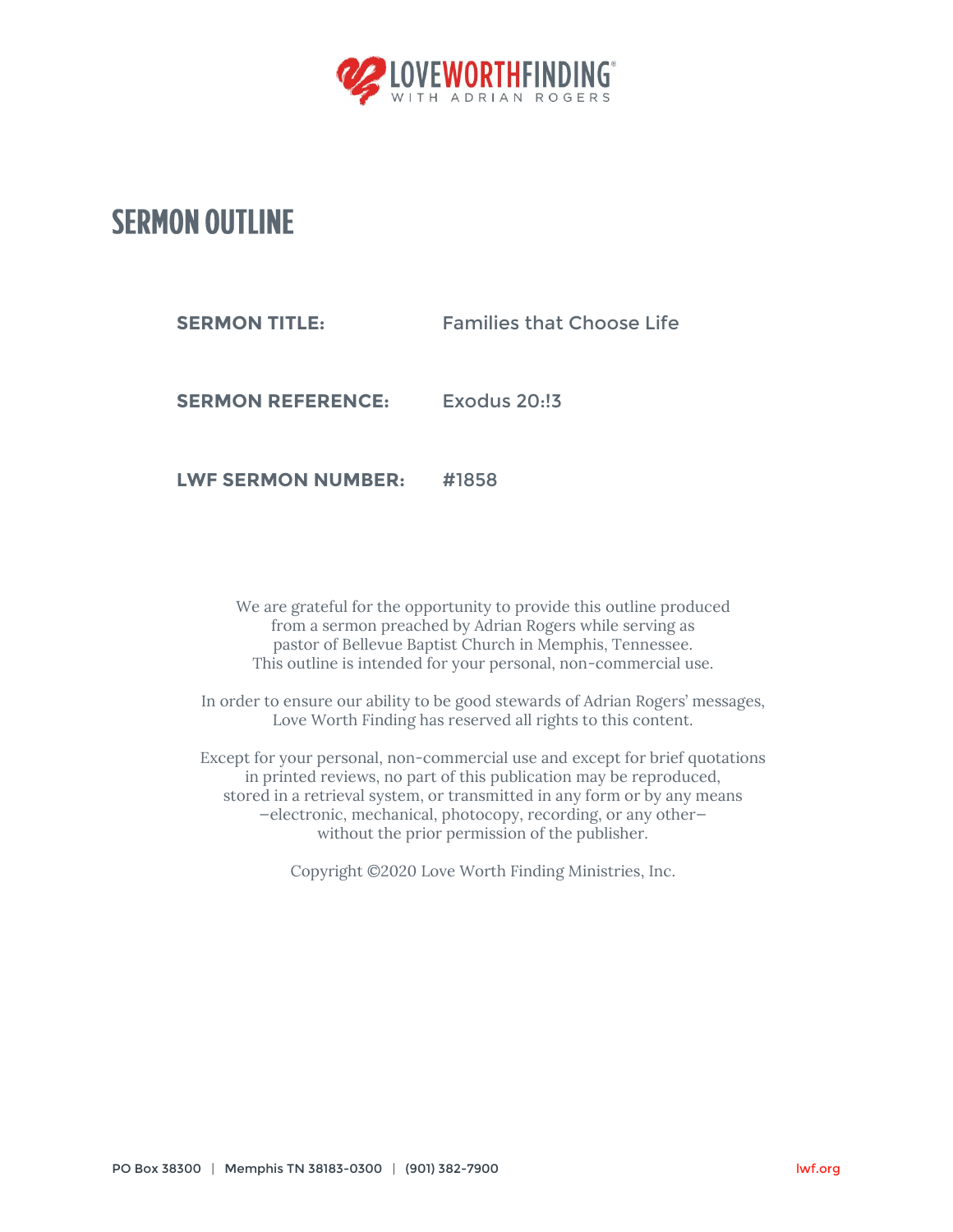

## **SERMON OUTLINE**

**SERMON TITLE:** Families that Choose Life

**SERMON REFERENCE:** Exodus 20:!3

**LWF SERMON NUMBER:** #1858

We are grateful for the opportunity to provide this outline produced from a sermon preached by Adrian Rogers while serving as pastor of Bellevue Baptist Church in Memphis, Tennessee. This outline is intended for your personal, non-commercial use.

In order to ensure our ability to be good stewards of Adrian Rogers' messages, Love Worth Finding has reserved all rights to this content.

Except for your personal, non-commercial use and except for brief quotations in printed reviews, no part of this publication may be reproduced, stored in a retrieval system, or transmitted in any form or by any means —electronic, mechanical, photocopy, recording, or any other without the prior permission of the publisher.

Copyright ©2020 Love Worth Finding Ministries, Inc.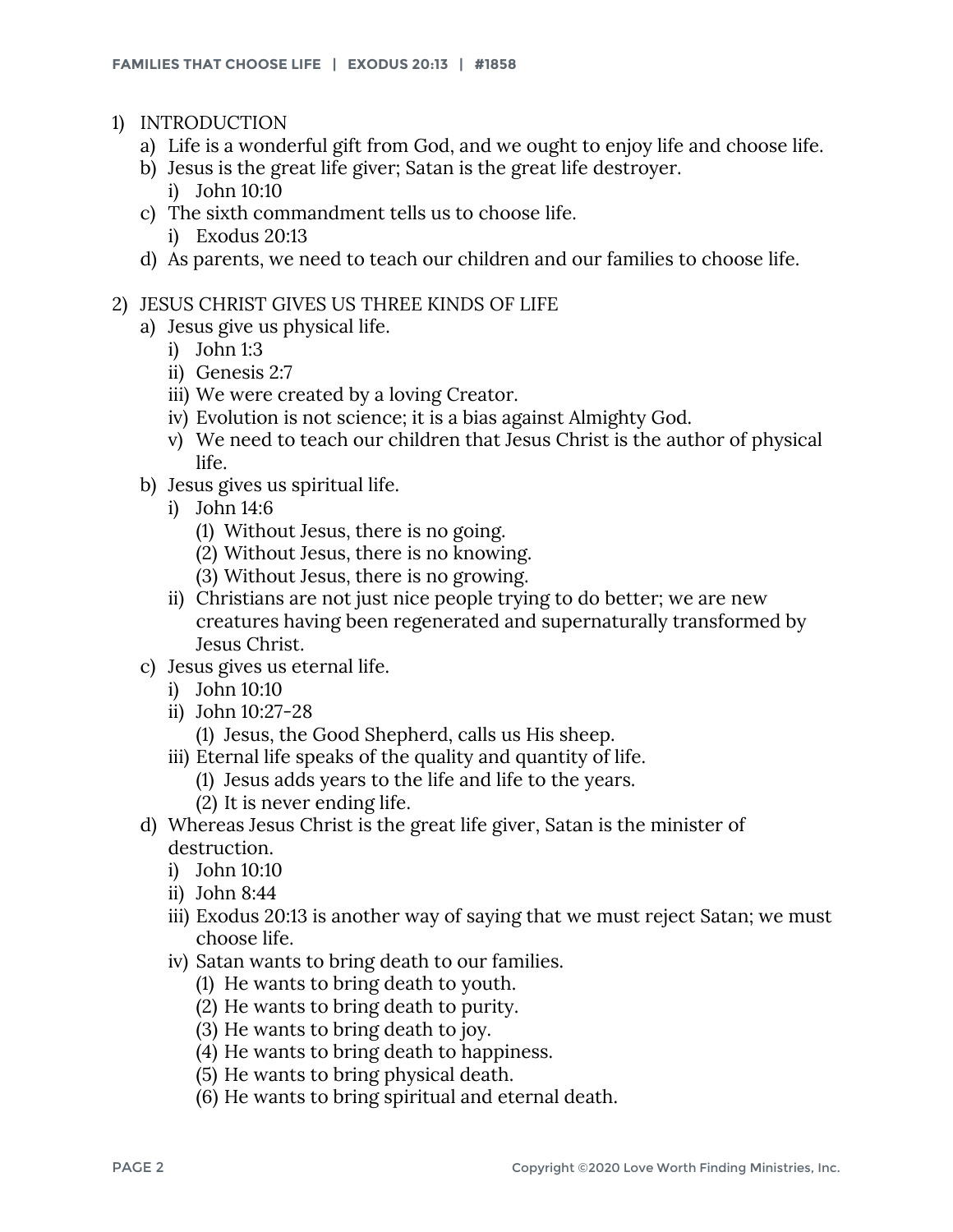- 1) INTRODUCTION
	- a) Life is a wonderful gift from God, and we ought to enjoy life and choose life.
	- b) Jesus is the great life giver; Satan is the great life destroyer.
		- i) John 10:10
	- c) The sixth commandment tells us to choose life.
		- i) Exodus 20:13
	- d) As parents, we need to teach our children and our families to choose life.
- 2) JESUS CHRIST GIVES US THREE KINDS OF LIFE
	- a) Jesus give us physical life.
		- i) John 1:3
		- ii) Genesis 2:7
		- iii) We were created by a loving Creator.
		- iv) Evolution is not science; it is a bias against Almighty God.
		- v) We need to teach our children that Jesus Christ is the author of physical life.
	- b) Jesus gives us spiritual life.
		- i) John 14:6
			- (1) Without Jesus, there is no going.
			- (2) Without Jesus, there is no knowing.
			- (3) Without Jesus, there is no growing.
		- ii) Christians are not just nice people trying to do better; we are new creatures having been regenerated and supernaturally transformed by Jesus Christ.
	- c) Jesus gives us eternal life.
		- i) John 10:10
		- ii) John 10:27-28
			- (1) Jesus, the Good Shepherd, calls us His sheep.
		- iii) Eternal life speaks of the quality and quantity of life.
			- (1) Jesus adds years to the life and life to the years.
			- (2) It is never ending life.
	- d) Whereas Jesus Christ is the great life giver, Satan is the minister of destruction.
		- i) John 10:10
		- ii) John 8:44
		- iii) Exodus 20:13 is another way of saying that we must reject Satan; we must choose life.
		- iv) Satan wants to bring death to our families.
			- (1) He wants to bring death to youth.
			- (2) He wants to bring death to purity.
			- (3) He wants to bring death to joy.
			- (4) He wants to bring death to happiness.
			- (5) He wants to bring physical death.
			- (6) He wants to bring spiritual and eternal death.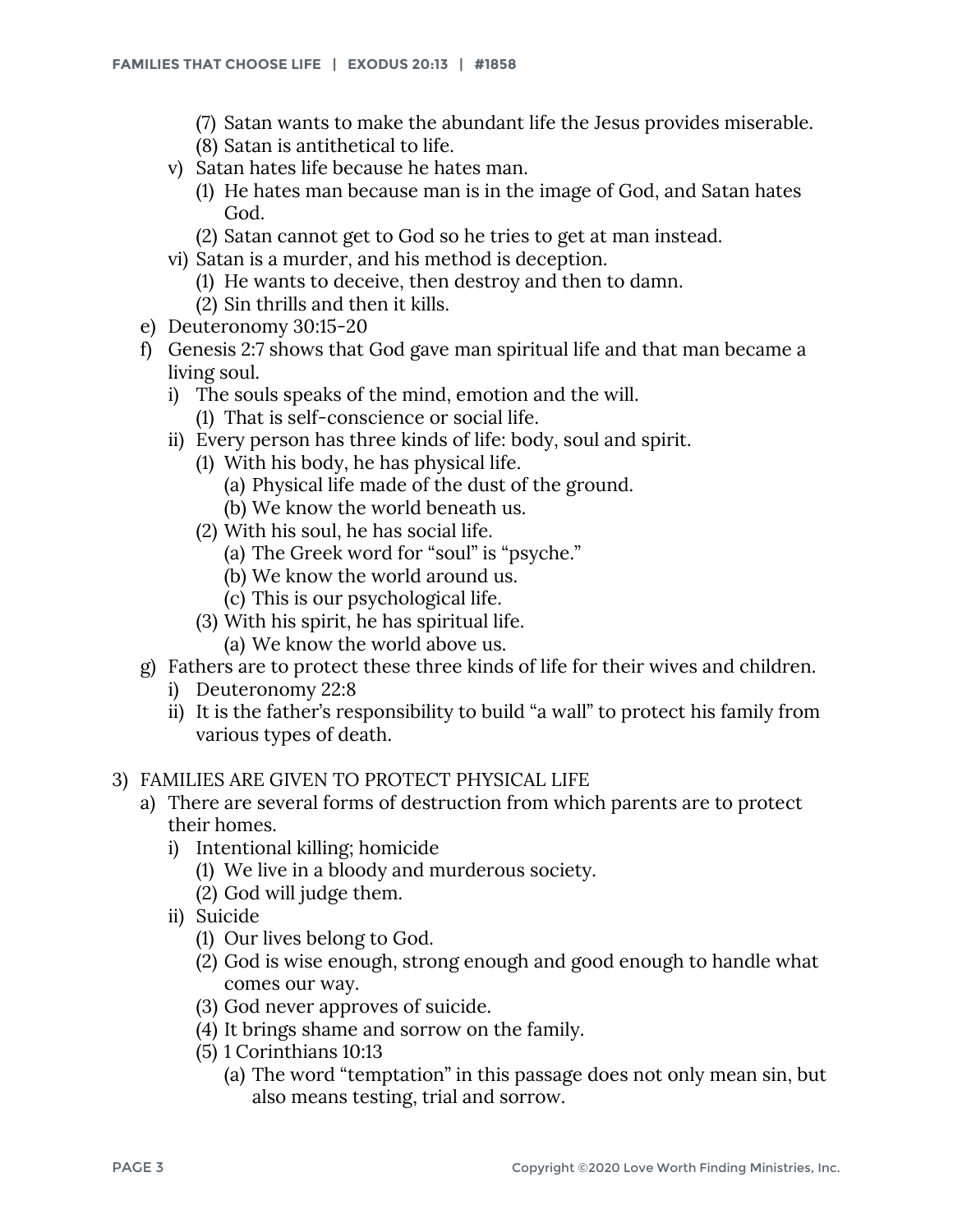- (7) Satan wants to make the abundant life the Jesus provides miserable.
- (8) Satan is antithetical to life.
- v) Satan hates life because he hates man.
	- (1) He hates man because man is in the image of God, and Satan hates God.
	- (2) Satan cannot get to God so he tries to get at man instead.
- vi) Satan is a murder, and his method is deception.
	- (1) He wants to deceive, then destroy and then to damn.
	- (2) Sin thrills and then it kills.
- e) Deuteronomy 30:15-20
- f) Genesis 2:7 shows that God gave man spiritual life and that man became a living soul.
	- i) The souls speaks of the mind, emotion and the will.
		- (1) That is self-conscience or social life.
	- ii) Every person has three kinds of life: body, soul and spirit.
		- (1) With his body, he has physical life.
			- (a) Physical life made of the dust of the ground.
			- (b) We know the world beneath us.
		- (2) With his soul, he has social life.
			- (a) The Greek word for "soul" is "psyche."
			- (b) We know the world around us.
			- (c) This is our psychological life.
		- (3) With his spirit, he has spiritual life.
			- (a) We know the world above us.
- g) Fathers are to protect these three kinds of life for their wives and children.
	- i) Deuteronomy 22:8
	- ii) It is the father's responsibility to build "a wall" to protect his family from various types of death.
- 3) FAMILIES ARE GIVEN TO PROTECT PHYSICAL LIFE
	- a) There are several forms of destruction from which parents are to protect their homes.
		- i) Intentional killing; homicide
			- (1) We live in a bloody and murderous society.
			- (2) God will judge them.
		- ii) Suicide
			- (1) Our lives belong to God.
			- (2) God is wise enough, strong enough and good enough to handle what comes our way.
			- (3) God never approves of suicide.
			- (4) It brings shame and sorrow on the family.
			- (5) 1 Corinthians 10:13
				- (a) The word "temptation" in this passage does not only mean sin, but also means testing, trial and sorrow.